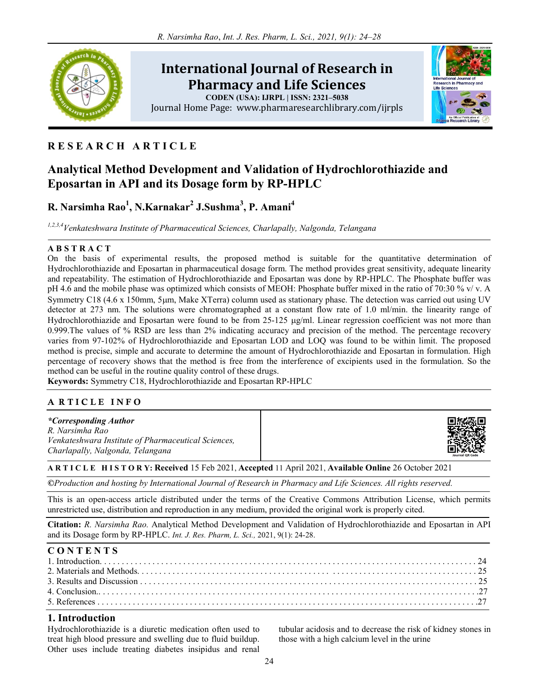

# International Journal of Research in Pharmacy and Life Sciences

CODEN (USA): IJRPL | ISSN: 2321–5038 Journal Home Page: www.pharmaresearchlibrary.com/ijrpls



# R E S E A R C H A R T I C L E

# Analytical Method Development and Validation of Hydrochlorothiazide and Eposartan in API and its Dosage form by RP-HPLC

# R. Narsimha Rao<sup>1</sup>, N.Karnakar<sup>2</sup> J.Sushma<sup>3</sup>, P. Amani<sup>4</sup>

1,2,3,4 Venkateshwara Institute of Pharmaceutical Sciences, Charlapally, Nalgonda, Telangana

## A B S T R A C T

On the basis of experimental results, the proposed method is suitable for the quantitative determination of Hydrochlorothiazide and Eposartan in pharmaceutical dosage form. The method provides great sensitivity, adequate linearity and repeatability. The estimation of Hydrochlorothiazide and Eposartan was done by RP-HPLC. The Phosphate buffer was pH 4.6 and the mobile phase was optimized which consists of MEOH: Phosphate buffer mixed in the ratio of 70:30 % v/ v. A Symmetry C18 (4.6 x 150mm, 5µm, Make XTerra) column used as stationary phase. The detection was carried out using UV detector at 273 nm. The solutions were chromatographed at a constant flow rate of 1.0 ml/min. the linearity range of Hydrochlorothiazide and Eposartan were found to be from  $25-125 \mu g/ml$ . Linear regression coefficient was not more than 0.999.The values of % RSD are less than 2% indicating accuracy and precision of the method. The percentage recovery varies from 97-102% of Hydrochlorothiazide and Eposartan LOD and LOQ was found to be within limit. The proposed method is precise, simple and accurate to determine the amount of Hydrochlorothiazide and Eposartan in formulation. High percentage of recovery shows that the method is free from the interference of excipients used in the formulation. So the method can be useful in the routine quality control of these drugs.

Keywords: Symmetry C18, Hydrochlorothiazide and Eposartan RP-HPLC

## A RTICLE INFO

| <i>*Corresponding Author</i><br>R. Narsimha Rao            | 回放怒回            |
|------------------------------------------------------------|-----------------|
| <i>Venkateshwara Institute of Pharmaceutical Sciences.</i> | $\mathbb{R}^n$  |
| Charlapally, Nalgonda, Telangana                           | Journal OR Code |

## A R T I C L E H I S T O R Y: Received 15 Feb 2021, Accepted 11 April 2021, Available Online 26 October 2021

©Production and hosting by International Journal of Research in Pharmacy and Life Sciences. All rights reserved.

This is an open-access article distributed under the terms of the Creative Commons Attribution License, which permits unrestricted use, distribution and reproduction in any medium, provided the original work is properly cited.

Citation: R. Narsimha Rao. Analytical Method Development and Validation of Hydrochlorothiazide and Eposartan in API and its Dosage form by RP-HPLC. Int. J. Res. Pharm, L. Sci., 2021, 9(1): 24-28.

| <b>CONTENTS</b> |  |
|-----------------|--|
|                 |  |
|                 |  |
|                 |  |
|                 |  |
|                 |  |

## 1. Introduction

Hydrochlorothiazide is a diuretic medication often used to treat high blood pressure and swelling due to fluid buildup. Other uses include treating diabetes insipidus and renal tubular acidosis and to decrease the risk of kidney stones in those with a high calcium level in the urine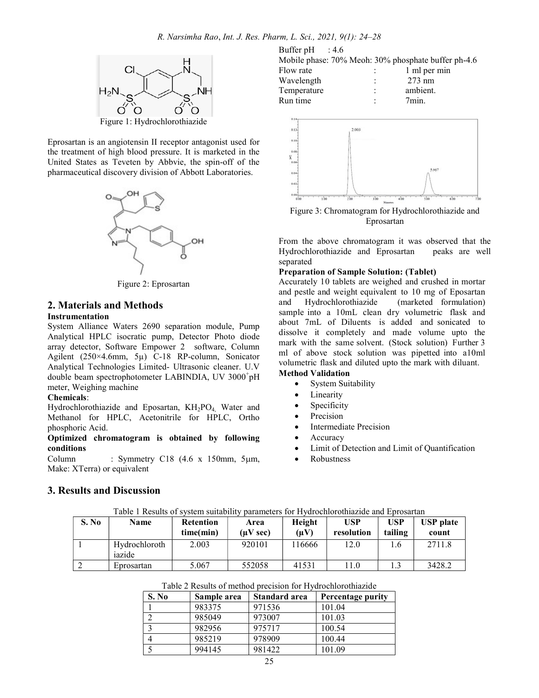

Eprosartan is an angiotensin II receptor antagonist used for the treatment of high blood pressure. It is marketed in the United States as Teveten by Abbvie, the spin-off of the pharmaceutical discovery division of Abbott Laboratories.



Figure 2: Eprosartan

# 2. Materials and Methods

### Instrumentation

System Alliance Waters 2690 separation module, Pump Analytical HPLC isocratic pump, Detector Photo diode array detector, Software Empower 2 software, Column Agilent (250×4.6mm, 5µ) C-18 RP-column, Sonicator Analytical Technologies Limited- Ultrasonic cleaner. U.V double beam spectrophotometer LABINDIA, UV 3000<sup>+</sup>pH meter, Weighing machine

### Chemicals:

Hydrochlorothiazide and Eposartan, KH<sub>2</sub>PO<sub>4</sub>, Water and Methanol for HPLC, Acetonitrile for HPLC, Ortho phosphoric Acid.

Optimized chromatogram is obtained by following conditions

Column : Symmetry C18  $(4.6 \times 150 \text{mm}, 5 \mu \text{m})$ Make: XTerra) or equivalent

Buffer pH : 4.6 Mobile phase: 70% Meoh: 30% phosphate buffer ph-4.6

| 1 ml per min     |
|------------------|
| $273 \text{ nm}$ |
| ambient.         |
| $7$ min.         |
|                  |



Figure 3: Chromatogram for Hydrochlorothiazide and Eprosartan

From the above chromatogram it was observed that the Hydrochlorothiazide and Eprosartan peaks are well separated

#### Preparation of Sample Solution: (Tablet)

Accurately 10 tablets are weighed and crushed in mortar and pestle and weight equivalent to 10 mg of Eposartan and Hydrochlorothiazide (marketed formulation) sample into a 10mL clean dry volumetric flask and about 7mL of Diluents is added and sonicated to dissolve it completely and made volume upto the mark with the same solvent. (Stock solution) Further 3 ml of above stock solution was pipetted into a10ml volumetric flask and diluted upto the mark with diluant.

## Method Validation

- System Suitability
- Linearity
- Specificity
- Precision
- Intermediate Precision
- Accuracy
- Limit of Detection and Limit of Quantification
- Robustness

## 3. Results and Discussion

|       | Lable 1 Results of system suitability parameters for Hydrochlorothiazide and Eprosartan |                               |                        |                     |                          |                |                           |  |
|-------|-----------------------------------------------------------------------------------------|-------------------------------|------------------------|---------------------|--------------------------|----------------|---------------------------|--|
| S. No | <b>Name</b>                                                                             | <b>Retention</b><br>time(min) | Area<br>$(\mu V \sec)$ | Height<br>$(\mu V)$ | <b>USP</b><br>resolution | USP<br>tailing | <b>USP</b> plate<br>count |  |
|       | Hydrochloroth<br>iazide                                                                 | 2.003                         | 920101                 | 16666               | 12.0                     | 1.6            | 2711.8                    |  |
|       | Eprosartan                                                                              | 5.067                         | 552058                 | 41531               | 11.0                     |                | 3428.2                    |  |

Table 1 Results of system suitability parameters for Hydrochlorothiazide and Eprosartan

#### Table 2 Results of method precision for Hydrochlorothiazide

| S. No | Sample area | Standard area | Percentage purity |
|-------|-------------|---------------|-------------------|
|       | 983375      | 971536        | 101.04            |
|       | 985049      | 973007        | 101.03            |
| C     | 982956      | 975717        | 100.54            |
|       | 985219      | 978909        | 100.44            |
|       | 994145      | 981422        | 101.09            |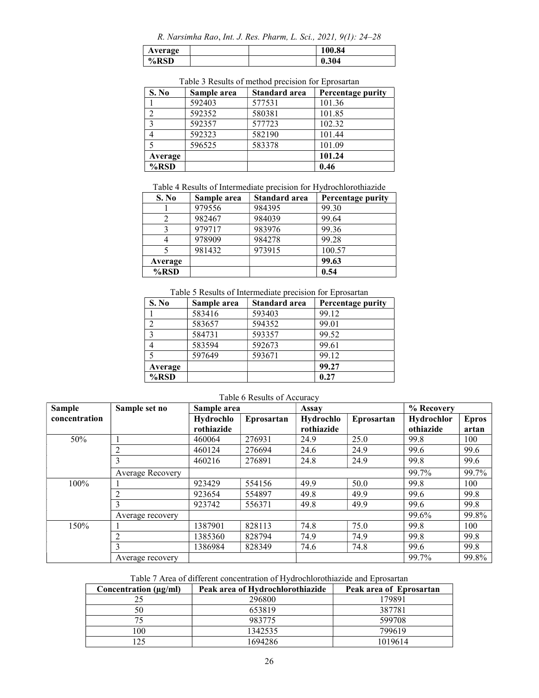R. Narsimha Rao, Int. J. Res. Pharm, L. Sci., 2021, 9(1): 24–28

| Average |  | 00.84 |
|---------|--|-------|
| %RSD    |  | 0.304 |

| Table 5 Results of method breefsion for Eprosarian |             |               |                   |  |  |
|----------------------------------------------------|-------------|---------------|-------------------|--|--|
| S. No                                              | Sample area | Standard area | Percentage purity |  |  |
|                                                    | 592403      | 577531        | 101.36            |  |  |
| 2                                                  | 592352      | 580381        | 101.85            |  |  |
| $\mathcal{R}$                                      | 592357      | 577723        | 102.32            |  |  |
|                                                    | 592323      | 582190        | 101.44            |  |  |
|                                                    | 596525      | 583378        | 101.09            |  |  |
| Average                                            |             |               | 101.24            |  |  |
| $%$ RSD                                            |             |               | 0.46              |  |  |

Table 3 Results of method precision for Eprosartan

Table 4 Results of Intermediate precision for Hydrochlorothiazide

| S. No   | Sample area | Standard area | Percentage purity |
|---------|-------------|---------------|-------------------|
|         | 979556      | 984395        | 99.30             |
|         | 982467      | 984039        | 99.64             |
|         | 979717      | 983976        | 99.36             |
| 4       | 978909      | 984278        | 99.28             |
|         | 981432      | 973915        | 100.57            |
| Average |             |               | 99.63             |
| $%$ RSD |             |               | 0.54              |

## Table 5 Results of Intermediate precision for Eprosartan

| S. No   | Sample area | <b>Standard area</b> | Percentage purity |
|---------|-------------|----------------------|-------------------|
|         | 583416      | 593403               | 99.12             |
|         | 583657      | 594352               | 99.01             |
|         | 584731      | 593357               | 99.52             |
|         | 583594      | 592673               | 99.61             |
|         | 597649      | 593671               | 99.12             |
| Average |             |                      | 99.27             |
| $%$ RSD |             |                      | 0.27              |

| <b>Sample</b> | Sample set no    | Sample area |            | Assay      |            | % Recovery |              |
|---------------|------------------|-------------|------------|------------|------------|------------|--------------|
| concentration |                  | Hydrochlo   | Eprosartan | Hydrochlo  | Eprosartan | Hydrochlor | <b>Epros</b> |
|               |                  | rothiazide  |            | rothiazide |            | othiazide  | artan        |
| 50%           |                  | 460064      | 276931     | 24.9       | 25.0       | 99.8       | 100          |
|               |                  | 460124      | 276694     | 24.6       | 24.9       | 99.6       | 99.6         |
|               | 3                | 460216      | 276891     | 24.8       | 24.9       | 99.8       | 99.6         |
|               | Average Recovery |             |            |            |            | 99.7%      | 99.7%        |
| 100%          |                  | 923429      | 554156     | 49.9       | 50.0       | 99.8       | 100          |
|               |                  | 923654      | 554897     | 49.8       | 49.9       | 99.6       | 99.8         |
|               | $\mathbf{3}$     | 923742      | 556371     | 49.8       | 49.9       | 99.6       | 99.8         |
|               | Average recovery |             |            |            |            | 99.6%      | 99.8%        |
| 150%          |                  | 1387901     | 828113     | 74.8       | 75.0       | 99.8       | 100          |
|               | $\mathfrak{D}$   | 1385360     | 828794     | 74.9       | 74.9       | 99.8       | 99.8         |
|               | 3                | 1386984     | 828349     | 74.6       | 74.8       | 99.6       | 99.8         |
|               | Average recovery |             |            |            |            | 99.7%      | 99.8%        |

### Table 6 Results of Accuracy

Table 7 Area of different concentration of Hydrochlorothiazide and Eprosartan

| Concentration $(\mu g/ml)$ | Peak area of Hydrochlorothiazide | Peak area of Eprosartan |
|----------------------------|----------------------------------|-------------------------|
|                            | 296800                           | 179891                  |
| 50                         | 653819                           | 387781                  |
|                            | 983775                           | 599708                  |
| 100                        | 1342535                          | 799619                  |
| 125                        | 1694286                          | 1019614                 |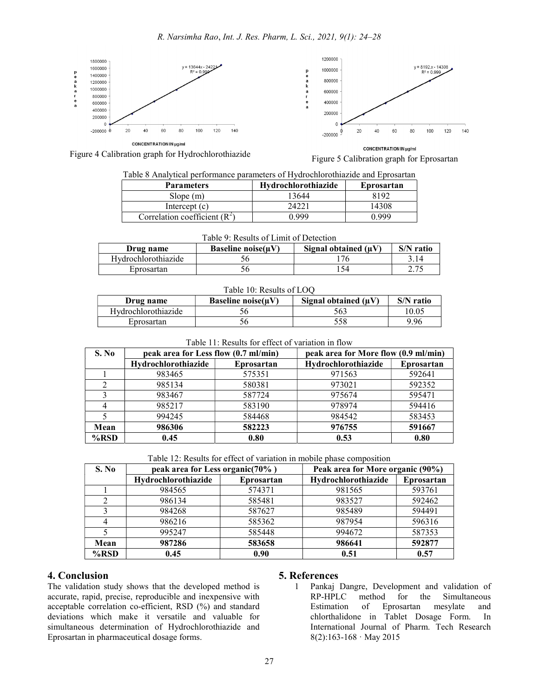

Figure 4 Calibration graph for Hydrochlorothiazide **Figure 5** Calibration graph for Eprosartan

### Table 8 Analytical performance parameters of Hydrochlorothiazide and Eprosartan

| <b>Parameters</b>               | <b>Hydrochlorothiazide</b> | Eprosartan |
|---------------------------------|----------------------------|------------|
| Slope(m)                        | 13644                      | 8192       |
| Intercept $(c)$                 |                            | 14308      |
| Correlation coefficient $(R^2)$ | N 999                      | N 999      |

| Table 9: Results of Limit of Detection |                       |                           |           |  |  |
|----------------------------------------|-----------------------|---------------------------|-----------|--|--|
| Drug name                              | Baseline noise $(uV)$ | Signal obtained $(\mu V)$ | S/N ratio |  |  |
| Hydrochlorothiazide                    |                       | 76                        | 3.14      |  |  |
| Eprosartan                             |                       | 54                        |           |  |  |

## Table 10: Results of LOQ

| Drug name           | Baseline noise $(uV)$ | Signal obtained $(\mu V)$ | S/N ratio |
|---------------------|-----------------------|---------------------------|-----------|
| Hydrochlorothiazide |                       | 563                       | 10.05     |
| Eprosartan          |                       | 558                       | 9.96      |

### Table 11: Results for effect of variation in flow

| S. No   | peak area for Less flow (0.7 ml/min) |            | peak area for More flow (0.9 ml/min) |            |
|---------|--------------------------------------|------------|--------------------------------------|------------|
|         | Hydrochlorothiazide                  | Eprosartan | Hydrochlorothiazide                  | Eprosartan |
|         | 983465                               | 575351     | 971563                               | 592641     |
|         | 985134                               | 580381     | 973021                               | 592352     |
|         | 983467                               | 587724     | 975674                               | 595471     |
|         | 985217                               | 583190     | 978974                               | 594416     |
|         | 994245                               | 584468     | 984542                               | 583453     |
| Mean    | 986306                               | 582223     | 976755                               | 591667     |
| $%$ RSD | 0.45                                 | 0.80       | 0.53                                 | 0.80       |

#### Table 12: Results for effect of variation in mobile phase composition

| S. No   | peak area for Less organic(70%) |            | Peak area for More organic (90%) |            |
|---------|---------------------------------|------------|----------------------------------|------------|
|         | Hydrochlorothiazide             | Eprosartan | Hydrochlorothiazide              | Eprosartan |
|         | 984565                          | 574371     | 981565                           | 593761     |
|         | 986134                          | 585481     | 983527                           | 592462     |
|         | 984268                          | 587627     | 985489                           | 594491     |
|         | 986216                          | 585362     | 987954                           | 596316     |
|         | 995247                          | 585448     | 994672                           | 587353     |
| Mean    | 987286                          | 583658     | 986641                           | 592877     |
| $%$ RSD | 0.45                            | 0.90       | 0.51                             | 0.57       |

## 4. Conclusion

The validation study shows that the developed method is accurate, rapid, precise, reproducible and inexpensive with acceptable correlation co-efficient, RSD (%) and standard deviations which make it versatile and valuable for simultaneous determination of Hydrochlorothiazide and Eprosartan in pharmaceutical dosage forms.

## 5. References

1 Pankaj Dangre, Development and validation of RP-HPLC method for the Simultaneous Estimation of Eprosartan mesylate and chlorthalidone in Tablet Dosage Form. In International Journal of Pharm. Tech Research 8(2):163-168 · May 2015